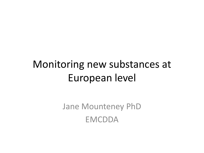## Monitoring new substances at European level

Jane Mounteney PhD EMCDDA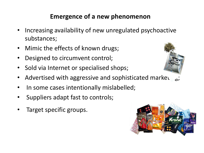#### **Emergence of a new phenomenon**

- Increasing availability of new unregulated psychoactive substances;
- Mimic the effects of known drugs;
- Designed to circumvent control;
- Sold via Internet or specialised shops;
- Advertised with aggressive and sophisticated market
- In some cases intentionally mislabelled;
- Suppliers adapt fast to controls;
- Target specific groups.



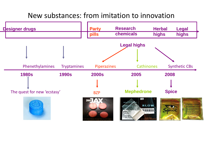### New substances: from imitation to innovation

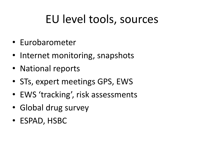# EU level tools, sources

- Eurobarometer
- Internet monitoring, snapshots
- National reports
- STs, expert meetings GPS, EWS
- EWS 'tracking', risk assessments
- Global drug survey
- ESPAD, HSBC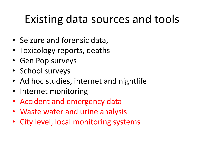# Existing data sources and tools

- Seizure and forensic data,
- Toxicology reports, deaths
- Gen Pop surveys
- School surveys
- Ad hoc studies, internet and nightlife
- Internet monitoring
- Accident and emergency data
- Waste water and urine analysis
- City level, local monitoring systems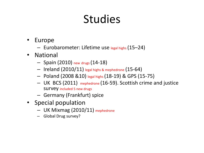# Studies

- Europe
	- Eurobarometer: Lifetime use legal highs (15–24)
- National
	- Spain (2010) new drugs (14-18)
	- $-$  Ireland (2010/11) legal highs & mephedrone (15-64)
	- Poland (2008 &10) legal highs (18-19) & GPS (15-75)
	- UK BCS (2011) mephedrone (16-59). Scottish crime and justice survey included 5 new drugs
	- Germany (Frankfurt) spice
- Special population
	- UK Mixmag (2010/11) mephedrone
	- Global Drug survey?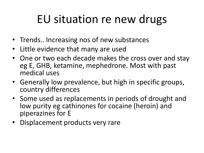# EU situation re new drugs

- Trends.. Increasing nos of new substances
- Little evidence that many are used
- One or two each decade makes the cross over and stay eg E, GHB, ketamine, mephedrone. Most with past medical uses
- Generally low prevalence, but high in specific groups, country differences
- Some used as replacements in periods of drought and low purity eg cathinones for cocaine (heroin) and piperazines for E
- Displacement products very rare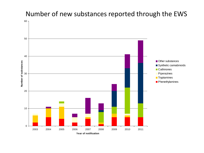## Number of new substances reported through the EWS

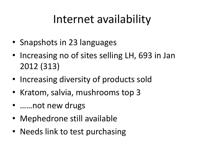# Internet availability

- Snapshots in 23 languages
- Increasing no of sites selling LH, 693 in Jan 2012 (313)
- Increasing diversity of products sold
- Kratom, salvia, mushrooms top 3
- ……not new drugs
- Mephedrone still available
- Needs link to test purchasing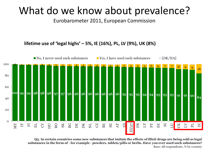## What do we know about prevalence?

Eurobarometer 2011, European Commission

#### **lifetime use of 'legal highs' – 5%, IE (16%), PL, LV (9%), UK (8%)**



O<sub>5</sub>. In certain countries some new substances that imitate the effects of illicit drugs are being sold as legal substances in the form of - for example - powders, tablets/pills or herbs. Have you ever used such substances? Base: all respondents, % by country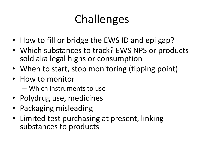# Challenges

- How to fill or bridge the EWS ID and epi gap?
- Which substances to track? EWS NPS or products sold aka legal highs or consumption
- When to start, stop monitoring (tipping point)
- How to monitor
	- Which instruments to use
- Polydrug use, medicines
- Packaging misleading
- Limited test purchasing at present, linking substances to products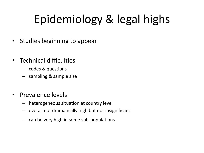# Epidemiology & legal highs

- Studies beginning to appear
- Technical difficulties
	- codes & questions
	- sampling & sample size
- Prevalence levels
	- heterogeneous situation at country level
	- overall not dramatically high but not insignificant
	- can be very high in some sub-populations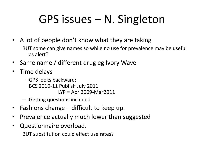# GPS issues – N. Singleton

- A lot of people don't know what they are taking BUT some can give names so while no use for prevalence may be useful as alert?
- Same name / different drug eg Ivory Wave
- Time delays
	- GPS looks backward: BCS 2010-11 Publish July 2011 LYP = Apr 2009-Mar2011
	- Getting questions included
- Fashions change difficult to keep up.
- Prevalence actually much lower than suggested
- Questionnaire overload. BUT substitution could effect use rates?